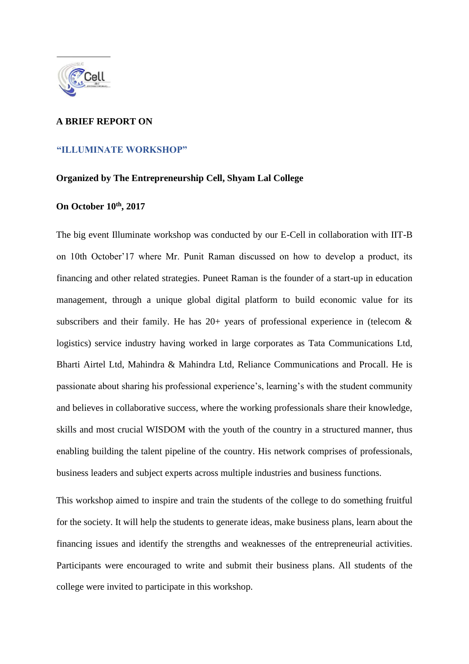

## **A BRIEF REPORT ON**

## **"ILLUMINATE WORKSHOP"**

## **Organized by The Entrepreneurship Cell, Shyam Lal College**

## **On October 10th, 2017**

The big event Illuminate workshop was conducted by our E-Cell in collaboration with IIT-B on 10th October'17 where Mr. Punit Raman discussed on how to develop a product, its financing and other related strategies. Puneet Raman is the founder of a start-up in education management, through a unique global digital platform to build economic value for its subscribers and their family. He has  $20+$  years of professional experience in (telecom  $\&$ logistics) service industry having worked in large corporates as Tata Communications Ltd, Bharti Airtel Ltd, Mahindra & Mahindra Ltd, Reliance Communications and Procall. He is passionate about sharing his professional experience's, learning's with the student community and believes in collaborative success, where the working professionals share their knowledge, skills and most crucial WISDOM with the youth of the country in a structured manner, thus enabling building the talent pipeline of the country. His network comprises of professionals, business leaders and subject experts across multiple industries and business functions.

This workshop aimed to inspire and train the students of the college to do something fruitful for the society. It will help the students to generate ideas, make business plans, learn about the financing issues and identify the strengths and weaknesses of the entrepreneurial activities. Participants were encouraged to write and submit their business plans. All students of the college were invited to participate in this workshop.